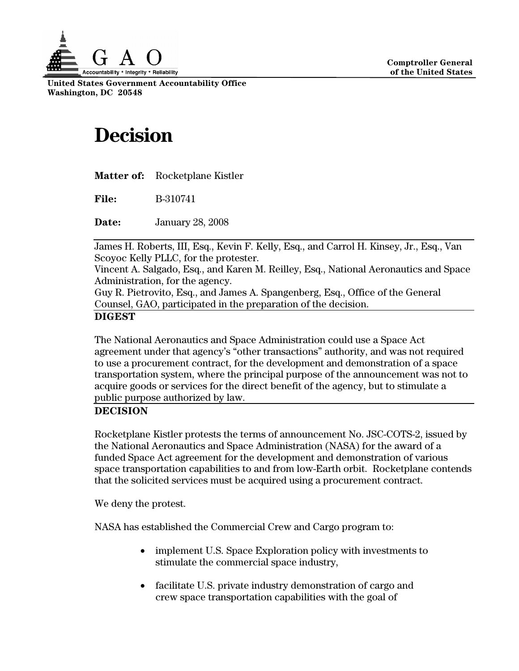

**United States Government Accountability Office Washington, DC 20548** 

## **Decision**

| <b>Matter of:</b> | Rocketplane Kistler |
|-------------------|---------------------|
|-------------------|---------------------|

**File:** B-310741

**Date:** January 28, 2008

James H. Roberts, III, Esq., Kevin F. Kelly, Esq., and Carrol H. Kinsey, Jr., Esq., Van Scoyoc Kelly PLLC, for the protester.

Vincent A. Salgado, Esq., and Karen M. Reilley, Esq., National Aeronautics and Space Administration, for the agency.

Guy R. Pietrovito, Esq., and James A. Spangenberg, Esq., Office of the General Counsel, GAO, participated in the preparation of the decision.

## **DIGEST**

The National Aeronautics and Space Administration could use a Space Act agreement under that agency's "other transactions" authority, and was not required to use a procurement contract, for the development and demonstration of a space transportation system, where the principal purpose of the announcement was not to acquire goods or services for the direct benefit of the agency, but to stimulate a public purpose authorized by law.

## **DECISION**

Rocketplane Kistler protests the terms of announcement No. JSC-COTS-2, issued by the National Aeronautics and Space Administration (NASA) for the award of a funded Space Act agreement for the development and demonstration of various space transportation capabilities to and from low-Earth orbit. Rocketplane contends that the solicited services must be acquired using a procurement contract.

We deny the protest.

NASA has established the Commercial Crew and Cargo program to:

- implement U.S. Space Exploration policy with investments to stimulate the commercial space industry,
- facilitate U.S. private industry demonstration of cargo and crew space transportation capabilities with the goal of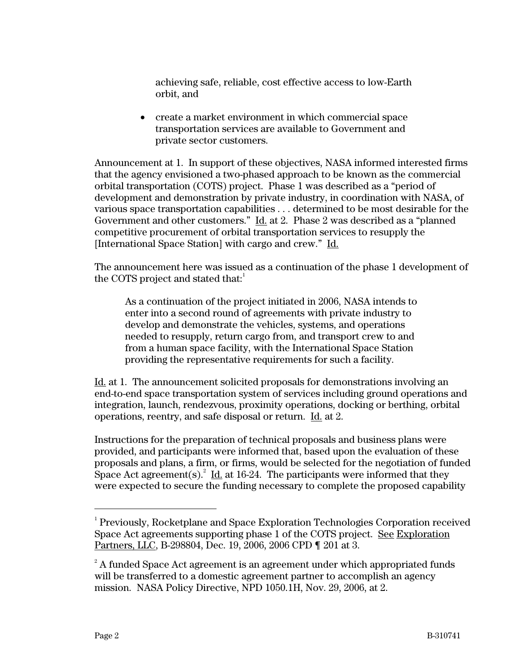achieving safe, reliable, cost effective access to low-Earth orbit, and

• create a market environment in which commercial space transportation services are available to Government and private sector customers.

Announcement at 1. In support of these objectives, NASA informed interested firms that the agency envisioned a two-phased approach to be known as the commercial orbital transportation (COTS) project. Phase 1 was described as a "period of development and demonstration by private industry, in coordination with NASA, of various space transportation capabilities . . . determined to be most desirable for the Government and other customers." Id. at 2. Phase 2 was described as a "planned competitive procurement of orbital transportation services to resupply the [International Space Station] with cargo and crew." Id.

The announcement here was issued as a continuation of the phase 1 development of the COTS project and stated that:

As a continuation of the project initiated in 2006, NASA intends to enter into a second round of agreements with private industry to develop and demonstrate the vehicles, systems, and operations needed to resupply, return cargo from, and transport crew to and from a human space facility, with the International Space Station providing the representative requirements for such a facility.

Id. at 1. The announcement solicited proposals for demonstrations involving an end-to-end space transportation system of services including ground operations and integration, launch, rendezvous, proximity operations, docking or berthing, orbital operations, reentry, and safe disposal or return. Id. at 2.

Instructions for the preparation of technical proposals and business plans were provided, and participants were informed that, based upon the evaluation of these proposals and plans, a firm, or firms, would be selected for the negotiation of funded Space Act agreement(s).<sup>2</sup> Id. at 16-24. The participants were informed that they were expected to secure the funding necessary to complete the proposed capability

 $\frac{1}{1}$  Previously, Rocketplane and Space Exploration Technologies Corporation received Space Act agreements supporting phase 1 of the COTS project. See Exploration Partners, LLC, B-298804, Dec. 19, 2006, 2006 CPD ¶ 201 at 3.

 $^{\text{2}}$  A funded Space Act agreement is an agreement under which appropriated funds will be transferred to a domestic agreement partner to accomplish an agency mission. NASA Policy Directive, NPD 1050.1H, Nov. 29, 2006, at 2.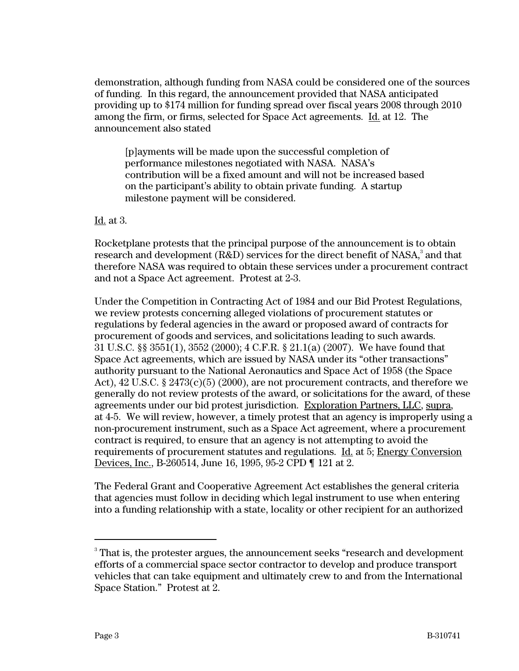demonstration, although funding from NASA could be considered one of the sources of funding. In this regard, the announcement provided that NASA anticipated providing up to \$174 million for funding spread over fiscal years 2008 through 2010 among the firm, or firms, selected for Space Act agreements. Id. at 12. The announcement also stated

[p]ayments will be made upon the successful completion of performance milestones negotiated with NASA. NASA's contribution will be a fixed amount and will not be increased based on the participant's ability to obtain private funding. A startup milestone payment will be considered.

Id. at 3.

Rocketplane protests that the principal purpose of the announcement is to obtain research and development (R&D) services for the direct benefit of NASA, $^{\rm 3}$  and that therefore NASA was required to obtain these services under a procurement contract and not a Space Act agreement. Protest at 2-3.

Under the Competition in Contracting Act of 1984 and our Bid Protest Regulations, we review protests concerning alleged violations of procurement statutes or regulations by federal agencies in the award or proposed award of contracts for procurement of goods and services, and solicitations leading to such awards. 31 U.S.C. §§ 3551(1), 3552 (2000); 4 C.F.R. § 21.1(a) (2007). We have found that Space Act agreements, which are issued by NASA under its "other transactions" authority pursuant to the National Aeronautics and Space Act of 1958 (the Space Act), 42 U.S.C. § 2473(c)(5) (2000), are not procurement contracts, and therefore we generally do not review protests of the award, or solicitations for the award, of these agreements under our bid protest jurisdiction. Exploration Partners, LLC, supra, at 4-5. We will review, however, a timely protest that an agency is improperly using a non-procurement instrument, such as a Space Act agreement, where a procurement contract is required, to ensure that an agency is not attempting to avoid the requirements of procurement statutes and regulations. Id. at 5; Energy Conversion Devices, Inc., B-260514, June 16, 1995, 95-2 CPD ¶ 121 at 2.

The Federal Grant and Cooperative Agreement Act establishes the general criteria that agencies must follow in deciding which legal instrument to use when entering into a funding relationship with a state, locality or other recipient for an authorized

<sup>-&</sup>lt;br>3 That is, the protester argues, the announcement seeks "research and development efforts of a commercial space sector contractor to develop and produce transport vehicles that can take equipment and ultimately crew to and from the International Space Station." Protest at 2.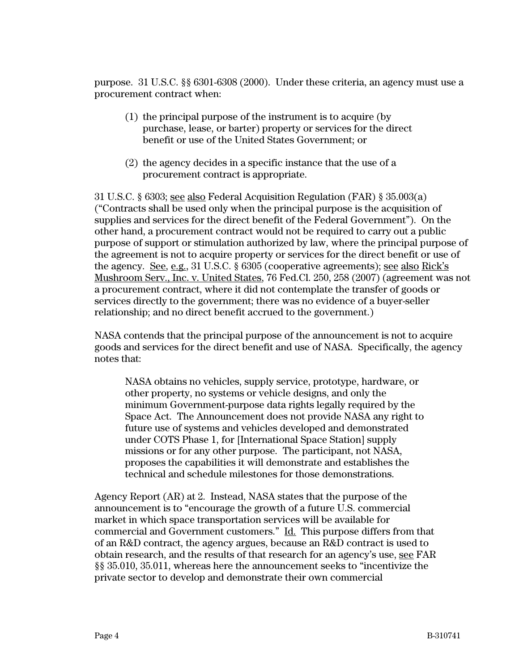purpose. 31 U.S.C. §§ 6301-[6308](http://web2.westlaw.com/find/default.wl?tf=-1&rs=WLW7.11&fn=_top&sv=Split&tc=-1&findtype=L&docname=31USCAS6308&db=1000546&vr=2.0&rp=%2ffind%2fdefault.wl&mt=GovernmentContracts) (2000). Under these criteria, an agency must use a procurement contract when:

- (1) the principal purpose of the instrument is to acquire (by purchase, lease, or barter) property or services for the direct benefit or use of the United States Government; or
- (2) the agency decides in a specific instance that the use of a procurement contract is appropriate.

31 U.S.C. § 6303; see also Federal Acquisition Regulation (FAR) § 35.003(a) ("Contracts shall be used only when the principal purpose is the acquisition of supplies and services for the direct benefit of the Federal Government"). On the other hand, a procurement contract would not be required to carry out a public purpose of support or stimulation authorized by law, where the principal purpose of the agreement is not to acquire property or services for the direct benefit or use of the agency. See, e.g., 31 U.S.C. § 6305 (cooperative agreements); see also Rick's Mushroom Serv., Inc. v. United States, 76 Fed.Cl. 250, 258 (2007) (agreement was not a procurement contract, where it did not contemplate the transfer of goods or services directly to the government; there was no evidence of a buyer-seller relationship; and no direct benefit accrued to the government.)

NASA contends that the principal purpose of the announcement is not to acquire goods and services for the direct benefit and use of NASA. Specifically, the agency notes that:

NASA obtains no vehicles, supply service, prototype, hardware, or other property, no systems or vehicle designs, and only the minimum Government-purpose data rights legally required by the Space Act. The Announcement does not provide NASA any right to future use of systems and vehicles developed and demonstrated under COTS Phase 1, for [International Space Station] supply missions or for any other purpose. The participant, not NASA, proposes the capabilities it will demonstrate and establishes the technical and schedule milestones for those demonstrations.

Agency Report (AR) at 2. Instead, NASA states that the purpose of the announcement is to "encourage the growth of a future U.S. commercial market in which space transportation services will be available for commercial and Government customers." Id. This purpose differs from that of an R&D contract, the agency argues, because an R&D contract is used to obtain research, and the results of that research for an agency's use, see FAR §§ 35.010, 35.011, whereas here the announcement seeks to "incentivize the private sector to develop and demonstrate their own commercial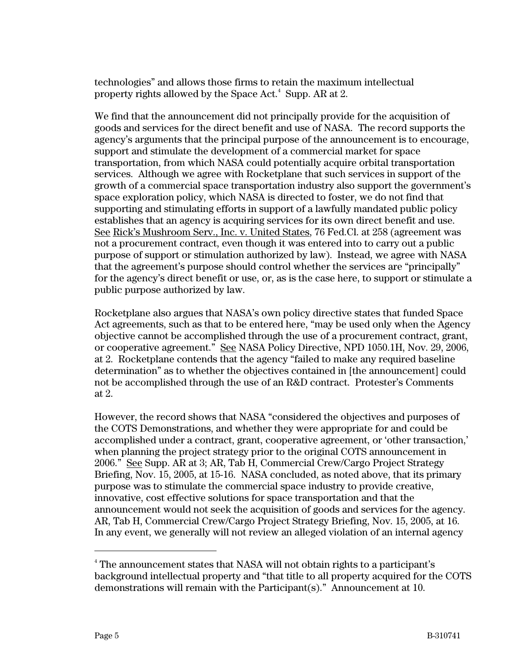technologies" and allows those firms to retain the maximum intellectual property rights allowed by the Space Act. $^4$  Supp. AR at 2.

We find that the announcement did not principally provide for the acquisition of goods and services for the direct benefit and use of NASA. The record supports the agency's arguments that the principal purpose of the announcement is to encourage, support and stimulate the development of a commercial market for space transportation, from which NASA could potentially acquire orbital transportation services. Although we agree with Rocketplane that such services in support of the growth of a commercial space transportation industry also support the government's space exploration policy, which NASA is directed to foster, we do not find that supporting and stimulating efforts in support of a lawfully mandated public policy establishes that an agency is acquiring services for its own direct benefit and use. See Rick's Mushroom Serv., Inc. v. United States, 76 Fed.Cl. at 258 (agreement was not a procurement contract, even though it was entered into to carry out a public purpose of support or stimulation authorized by law). Instead, we agree with NASA that the agreement's purpose should control whether the services are "principally" for the agency's direct benefit or use, or, as is the case here, to support or stimulate a public purpose authorized by law.

Rocketplane also argues that NASA's own policy directive states that funded Space Act agreements, such as that to be entered here, "may be used only when the Agency objective cannot be accomplished through the use of a procurement contract, grant, or cooperative agreement." See NASA Policy Directive, NPD 1050.1H, Nov. 29, 2006, at 2. Rocketplane contends that the agency "failed to make any required baseline determination" as to whether the objectives contained in [the announcement] could not be accomplished through the use of an R&D contract. Protester's Comments at 2.

However, the record shows that NASA "considered the objectives and purposes of the COTS Demonstrations, and whether they were appropriate for and could be accomplished under a contract, grant, cooperative agreement, or 'other transaction,' when planning the project strategy prior to the original COTS announcement in 2006." See Supp. AR at 3; AR, Tab H, Commercial Crew/Cargo Project Strategy Briefing, Nov. 15, 2005, at 15-16. NASA concluded, as noted above, that its primary purpose was to stimulate the commercial space industry to provide creative, innovative, cost effective solutions for space transportation and that the announcement would not seek the acquisition of goods and services for the agency. AR, Tab H, Commercial Crew/Cargo Project Strategy Briefing, Nov. 15, 2005, at 16. In any event, we generally will not review an alleged violation of an internal agency

 <sup>4</sup> The announcement states that NASA will not obtain rights to a participant's background intellectual property and "that title to all property acquired for the COTS demonstrations will remain with the Participant(s)." Announcement at 10.